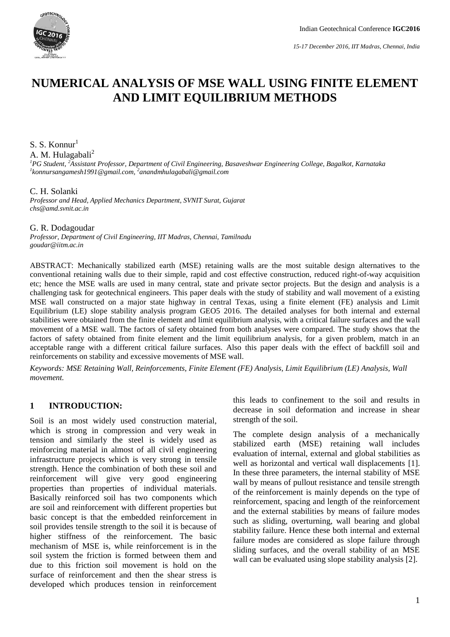

# **NUMERICAL ANALYSIS OF MSE WALL USING FINITE ELEMENT AND LIMIT EQUILIBRIUM METHODS**

S. S. Konnur<sup>1</sup>

A. M. Hulagabali<sup>2</sup>

*<sup>1</sup>PG Student, <sup>2</sup>Assistant Professor, Department of Civil Engineering, Basaveshwar Engineering College, Bagalkot, Karnataka 1 konnursangamesh1991@gmail.com, 2 anandmhulagabali@gmail.com*

#### C. H. Solanki

*Professor and Head, Applied Mechanics Department, SVNIT Surat, Gujarat chs@amd.svnit.ac.in*

#### G. R. Dodagoudar

*Professor, Department of Civil Engineering, IIT Madras, Chennai, Tamilnadu goudar@iitm.ac.in*

ABSTRACT: Mechanically stabilized earth (MSE) retaining walls are the most suitable design alternatives to the conventional retaining walls due to their simple, rapid and cost effective construction, reduced right-of-way acquisition etc; hence the MSE walls are used in many central, state and private sector projects. But the design and analysis is a challenging task for geotechnical engineers. This paper deals with the study of stability and wall movement of a existing MSE wall constructed on a major state highway in central Texas, using a finite element (FE) analysis and Limit Equilibrium (LE) slope stability analysis program GEO5 2016. The detailed analyses for both internal and external stabilities were obtained from the finite element and limit equilibrium analysis, with a critical failure surfaces and the wall movement of a MSE wall. The factors of safety obtained from both analyses were compared. The study shows that the factors of safety obtained from finite element and the limit equilibrium analysis, for a given problem, match in an acceptable range with a different critical failure surfaces. Also this paper deals with the effect of backfill soil and reinforcements on stability and excessive movements of MSE wall.

*Keywords: MSE Retaining Wall, Reinforcements, Finite Element (FE) Analysis, Limit Equilibrium (LE) Analysis, Wall movement.*

#### **1 INTRODUCTION:**

Soil is an most widely used construction material, which is strong in compression and very weak in tension and similarly the steel is widely used as reinforcing material in almost of all civil engineering infrastructure projects which is very strong in tensile strength. Hence the combination of both these soil and reinforcement will give very good engineering properties than properties of individual materials. Basically reinforced soil has two components which are soil and reinforcement with different properties but basic concept is that the embedded reinforcement in soil provides tensile strength to the soil it is because of higher stiffness of the reinforcement. The basic mechanism of MSE is, while reinforcement is in the soil system the friction is formed between them and due to this friction soil movement is hold on the surface of reinforcement and then the shear stress is developed which produces tension in reinforcement this leads to confinement to the soil and results in decrease in soil deformation and increase in shear strength of the soil.

The complete design analysis of a mechanically stabilized earth (MSE) retaining wall includes evaluation of internal, external and global stabilities as well as horizontal and vertical wall displacements [1]. In these three parameters, the internal stability of MSE wall by means of pullout resistance and tensile strength of the reinforcement is mainly depends on the type of reinforcement, spacing and length of the reinforcement and the external stabilities by means of failure modes such as sliding, overturning, wall bearing and global stability failure. Hence these both internal and external failure modes are considered as slope failure through sliding surfaces, and the overall stability of an MSE wall can be evaluated using slope stability analysis [2].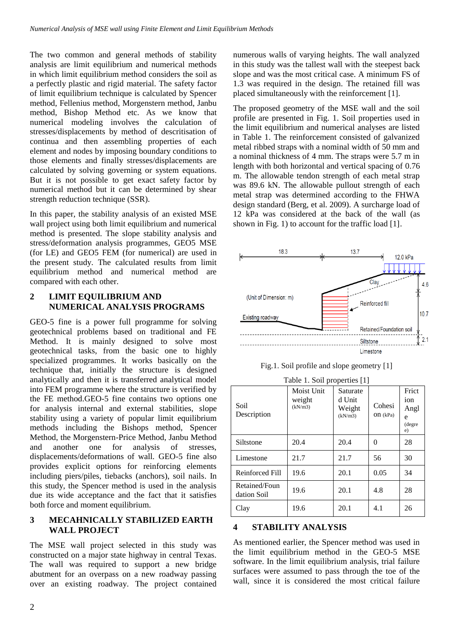The two common and general methods of stability analysis are limit equilibrium and numerical methods in which limit equilibrium method considers the soil as a perfectly plastic and rigid material. The safety factor of limit equilibrium technique is calculated by Spencer method, Fellenius method, Morgenstern method, Janbu method, Bishop Method etc. As we know that numerical modeling involves the calculation of stresses/displacements by method of descritisation of continua and then assembling properties of each element and nodes by imposing boundary conditions to those elements and finally stresses/displacements are calculated by solving governing or system equations. But it is not possible to get exact safety factor by numerical method but it can be determined by shear strength reduction technique (SSR).

In this paper, the stability analysis of an existed MSE wall project using both limit equilibrium and numerical method is presented. The slope stability analysis and stress/deformation analysis programmes, GEO5 MSE (for LE) and GEO5 FEM (for numerical) are used in the present study. The calculated results from limit equilibrium method and numerical method are compared with each other.

### **2 LIMIT EQUILIBRIUM AND NUMERICAL ANALYSIS PROGRAMS**

GEO-5 fine is a power full programme for solving geotechnical problems based on traditional and FE Method. It is mainly designed to solve most geotechnical tasks, from the basic one to highly specialized programmes. It works basically on the technique that, initially the structure is designed analytically and then it is transferred analytical model into FEM programme where the structure is verified by the FE method.GEO-5 fine contains two options one for analysis internal and external stabilities, slope stability using a variety of popular limit equilibrium methods including the Bishops method, Spencer Method, the Morgenstern-Price Method, Janbu Method and another one for analysis of stresses, displacements/deformations of wall. GEO-5 fine also provides explicit options for reinforcing elements including piers/piles, tiebacks (anchors), soil nails. In this study, the Spencer method is used in the analysis due its wide acceptance and the fact that it satisfies both force and moment equilibrium.

#### **3 MECAHNICALLY STABILIZED EARTH WALL PROJECT**

The MSE wall project selected in this study was constructed on a major state highway in central Texas. The wall was required to support a new bridge abutment for an overpass on a new roadway passing over an existing roadway. The project contained numerous walls of varying heights. The wall analyzed in this study was the tallest wall with the steepest back slope and was the most critical case. A minimum FS of 1.3 was required in the design. The retained fill was placed simultaneously with the reinforcement [1].

The proposed geometry of the MSE wall and the soil profile are presented in Fig. 1. Soil properties used in the limit equilibrium and numerical analyses are listed in Table 1. The reinforcement consisted of galvanized metal ribbed straps with a nominal width of 50 mm and a nominal thickness of 4 mm. The straps were 5.7 m in length with both horizontal and vertical spacing of 0.76 m. The allowable tendon strength of each metal strap was 89.6 kN. The allowable pullout strength of each metal strap was determined according to the FHWA design standard (Berg, et al. 2009). A surcharge load of 12 kPa was considered at the back of the wall (as shown in Fig. 1) to account for the traffic load [1].



Fig.1. Soil profile and slope geometry [1]

| Table 1. Soil properties [1] |                                 |                                         |                       |                                           |  |  |  |  |  |  |
|------------------------------|---------------------------------|-----------------------------------------|-----------------------|-------------------------------------------|--|--|--|--|--|--|
| Soil<br>Description          | Moist Unit<br>weight<br>(kN/m3) | Saturate<br>d Unit<br>Weight<br>(kN/m3) | Cohesi<br>O $n$ (kPa) | Frict<br>ion<br>Angl<br>e<br>(degre<br>e) |  |  |  |  |  |  |
| Siltstone                    | 20.4                            | 20.4                                    | 0                     | 28                                        |  |  |  |  |  |  |
| Limestone                    | 21.7                            | 21.7                                    | 56                    | 30                                        |  |  |  |  |  |  |
| Reinforced Fill              | 19.6                            | 20.1                                    | 0.05                  | 34                                        |  |  |  |  |  |  |
| Retained/Foun<br>dation Soil | 19.6                            | 20.1                                    | 4.8                   | 28                                        |  |  |  |  |  |  |
| Clay                         | 19.6                            | 20.1                                    | 4.1                   | 26                                        |  |  |  |  |  |  |

# **4 STABILITY ANALYSIS**

As mentioned earlier, the Spencer method was used in the limit equilibrium method in the GEO-5 MSE software. In the limit equilibrium analysis, trial failure surfaces were assumed to pass through the toe of the wall, since it is considered the most critical failure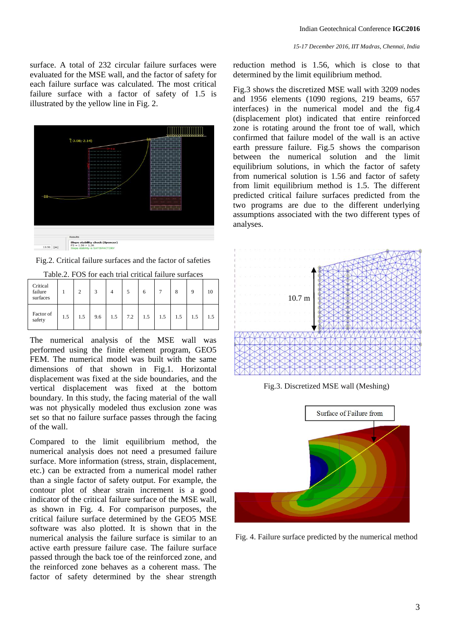surface. A total of 232 circular failure surfaces were evaluated for the MSE wall, and the factor of safety for each failure surface was calculated. The most critical failure surface with a factor of safety of 1.5 is illustrated by the yellow line in Fig. 2.



Fig.2. Critical failure surfaces and the factor of safeties

| Critical<br>failure<br>surfaces |     | $\Delta$ | 3   | $\overline{4}$ | 5   | 6   |     | 8   | 9   | 10  |
|---------------------------------|-----|----------|-----|----------------|-----|-----|-----|-----|-----|-----|
| Factor of<br>safety             | 1.5 | 1.5      | 9.6 | 1.5            | 7.2 | 1.5 | 1.5 | 1.5 | 1.5 | 1.5 |

Table.2. FOS for each trial critical failure surfaces

The numerical analysis of the MSE wall was performed using the finite element program, GEO5 FEM. The numerical model was built with the same dimensions of that shown in Fig.1. Horizontal displacement was fixed at the side boundaries, and the vertical displacement was fixed at the bottom boundary. In this study, the facing material of the wall was not physically modeled thus exclusion zone was set so that no failure surface passes through the facing of the wall.

Compared to the limit equilibrium method, the numerical analysis does not need a presumed failure surface. More information (stress, strain, displacement, etc.) can be extracted from a numerical model rather than a single factor of safety output. For example, the contour plot of shear strain increment is a good indicator of the critical failure surface of the MSE wall, as shown in Fig. 4. For comparison purposes, the critical failure surface determined by the GEO5 MSE software was also plotted. It is shown that in the numerical analysis the failure surface is similar to an active earth pressure failure case. The failure surface passed through the back toe of the reinforced zone, and the reinforced zone behaves as a coherent mass. The factor of safety determined by the shear strength

*15-17 December 2016, IIT Madras, Chennai, India*

reduction method is 1.56, which is close to that determined by the limit equilibrium method.

Fig.3 shows the discretized MSE wall with 3209 nodes and 1956 elements (1090 regions, 219 beams, 657 interfaces) in the numerical model and the fig.4 (displacement plot) indicated that entire reinforced zone is rotating around the front toe of wall, which confirmed that failure model of the wall is an active earth pressure failure. Fig.5 shows the comparison between the numerical solution and the limit equilibrium solutions, in which the factor of safety from numerical solution is 1.56 and factor of safety from limit equilibrium method is 1.5. The different predicted critical failure surfaces predicted from the two programs are due to the different underlying assumptions associated with the two different types of analyses.



Fig.3. Discretized MSE wall (Meshing)



Fig. 4. Failure surface predicted by the numerical method